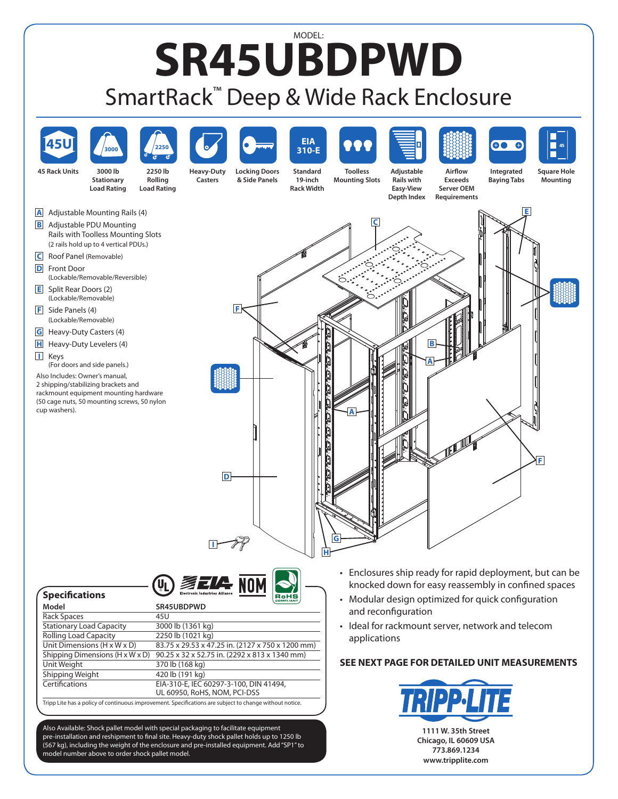## MODEL: **SR45UBDPWD** SmartRack™ Deep & Wide Rack Enclosure



Rolling Load Capacity 2250 lb (1021 kg)<br>Unit Dimensions (H x W x D) 83.75 x 29.53 x 47

Unit Weight 370 lb (168 kg)<br>
Shipping Weight 420 lb (191 kg)

model number above to order shock pallet model.

Shipping Weight

Shipping Dimensions (H x W x D) 90.25 x 32 x 52.75 in. (2292 x 813 x 1340 mm)

Certifications EIA-310-E, IEC 60297-3-100, DIN 41494,

Also Available: Shock pallet model with special packaging to facilitate equipment pre-installation and reshipment to final site. Heavy-duty shock pallet holds up to 1250 lb (567 kg), including the weight of the enclosure and pre-installed equipment. Add"SP1"to

Tripp Lite has a policy of continuous improvement. Specifications are subject to change without notice.

83.75 x 29.53 x 47.25 in. (2127 x 750 x 1200 mm)

UL 60950, RoHS, NOM, PCI-DSS

applications

## **SEE NEXT PAGE FOR DETAILED UNIT MEASUREMENTS**



**773.869.1234 www.tripplite.com**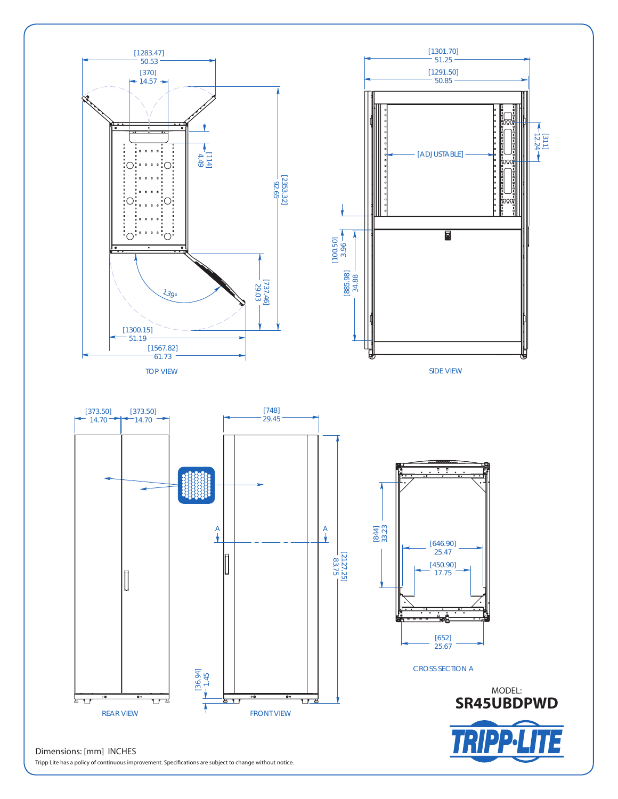